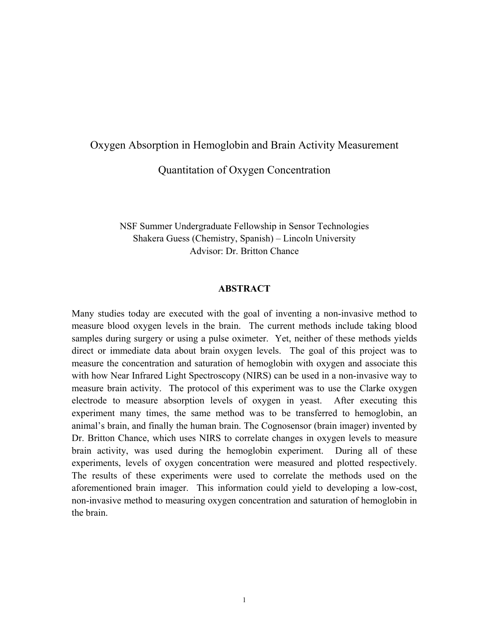### Oxygen Absorption in Hemoglobin and Brain Activity Measurement

Quantitation of Oxygen Concentration

NSF Summer Undergraduate Fellowship in Sensor Technologies Shakera Guess (Chemistry, Spanish) – Lincoln University Advisor: Dr. Britton Chance

#### **ABSTRACT**

Many studies today are executed with the goal of inventing a non-invasive method to measure blood oxygen levels in the brain. The current methods include taking blood samples during surgery or using a pulse oximeter. Yet, neither of these methods yields direct or immediate data about brain oxygen levels. The goal of this project was to measure the concentration and saturation of hemoglobin with oxygen and associate this with how Near Infrared Light Spectroscopy (NIRS) can be used in a non-invasive way to measure brain activity. The protocol of this experiment was to use the Clarke oxygen electrode to measure absorption levels of oxygen in yeast. After executing this experiment many times, the same method was to be transferred to hemoglobin, an animal's brain, and finally the human brain. The Cognosensor (brain imager) invented by Dr. Britton Chance, which uses NIRS to correlate changes in oxygen levels to measure brain activity, was used during the hemoglobin experiment. During all of these experiments, levels of oxygen concentration were measured and plotted respectively. The results of these experiments were used to correlate the methods used on the aforementioned brain imager. This information could yield to developing a low-cost, non-invasive method to measuring oxygen concentration and saturation of hemoglobin in the brain.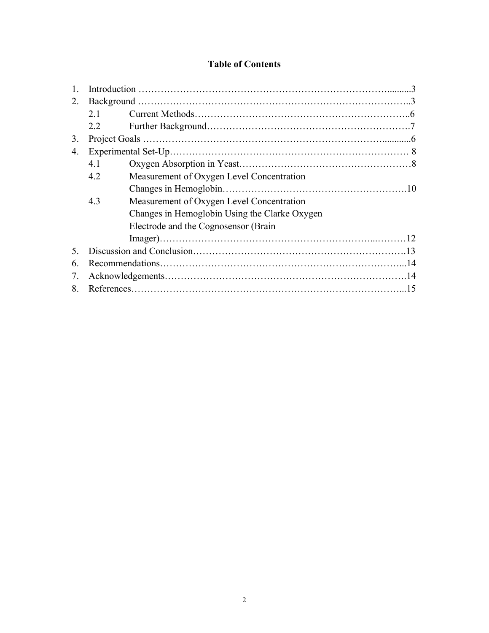# **Table of Contents**

| 2. |     |                                               |  |
|----|-----|-----------------------------------------------|--|
|    | 2.1 |                                               |  |
|    | 2.2 |                                               |  |
| 3. |     |                                               |  |
| 4. |     |                                               |  |
|    | 4.1 |                                               |  |
|    | 4.2 | Measurement of Oxygen Level Concentration     |  |
|    |     |                                               |  |
|    | 4.3 | Measurement of Oxygen Level Concentration     |  |
|    |     | Changes in Hemoglobin Using the Clarke Oxygen |  |
|    |     | Electrode and the Cognosensor (Brain          |  |
|    |     |                                               |  |
| 5  |     |                                               |  |
| 6  |     |                                               |  |
| 7. |     |                                               |  |
| 8  |     |                                               |  |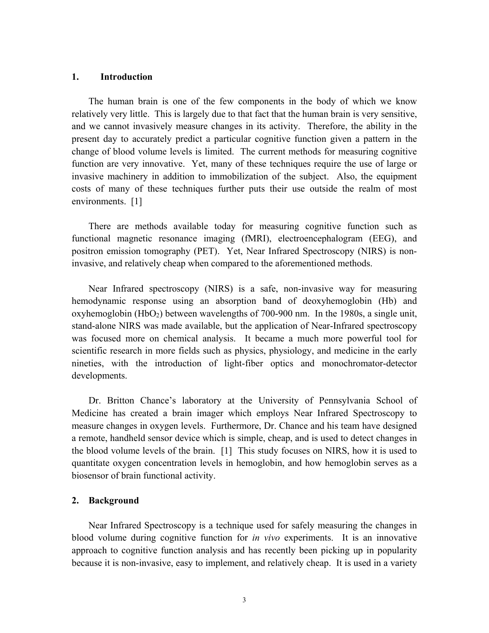### **1. Introduction**

The human brain is one of the few components in the body of which we know relatively very little. This is largely due to that fact that the human brain is very sensitive, and we cannot invasively measure changes in its activity. Therefore, the ability in the present day to accurately predict a particular cognitive function given a pattern in the change of blood volume levels is limited. The current methods for measuring cognitive function are very innovative. Yet, many of these techniques require the use of large or invasive machinery in addition to immobilization of the subject. Also, the equipment costs of many of these techniques further puts their use outside the realm of most environments. [1]

There are methods available today for measuring cognitive function such as functional magnetic resonance imaging (fMRI), electroencephalogram (EEG), and positron emission tomography (PET). Yet, Near Infrared Spectroscopy (NIRS) is noninvasive, and relatively cheap when compared to the aforementioned methods.

Near Infrared spectroscopy (NIRS) is a safe, non-invasive way for measuring hemodynamic response using an absorption band of deoxyhemoglobin (Hb) and oxyhemoglobin  $(HbO<sub>2</sub>)$  between wavelengths of 700-900 nm. In the 1980s, a single unit, stand-alone NIRS was made available, but the application of Near-Infrared spectroscopy was focused more on chemical analysis. It became a much more powerful tool for scientific research in more fields such as physics, physiology, and medicine in the early nineties, with the introduction of light-fiber optics and monochromator-detector developments.

Dr. Britton Chance's laboratory at the University of Pennsylvania School of Medicine has created a brain imager which employs Near Infrared Spectroscopy to measure changes in oxygen levels. Furthermore, Dr. Chance and his team have designed a remote, handheld sensor device which is simple, cheap, and is used to detect changes in the blood volume levels of the brain. [1] This study focuses on NIRS, how it is used to quantitate oxygen concentration levels in hemoglobin, and how hemoglobin serves as a biosensor of brain functional activity.

#### **2. Background**

Near Infrared Spectroscopy is a technique used for safely measuring the changes in blood volume during cognitive function for *in vivo* experiments. It is an innovative approach to cognitive function analysis and has recently been picking up in popularity because it is non-invasive, easy to implement, and relatively cheap. It is used in a variety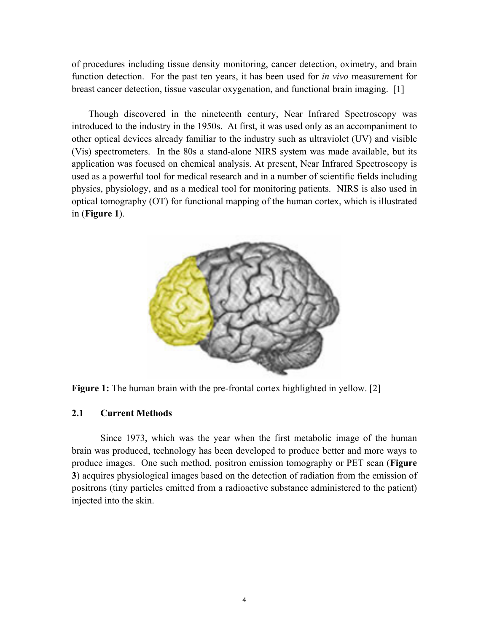of procedures including tissue density monitoring, cancer detection, oximetry, and brain function detection. For the past ten years, it has been used for *in vivo* measurement for breast cancer detection, tissue vascular oxygenation, and functional brain imaging. [1]

Though discovered in the nineteenth century, Near Infrared Spectroscopy was introduced to the industry in the 1950s. At first, it was used only as an accompaniment to other optical devices already familiar to the industry such as ultraviolet (UV) and visible (Vis) spectrometers. In the 80s a stand-alone NIRS system was made available, but its application was focused on chemical analysis. At present, Near Infrared Spectroscopy is used as a powerful tool for medical research and in a number of scientific fields including physics, physiology, and as a medical tool for monitoring patients. NIRS is also used in optical tomography (OT) for functional mapping of the human cortex, which is illustrated in (**Figure 1**).





### **2.1 Current Methods**

Since 1973, which was the year when the first metabolic image of the human brain was produced, technology has been developed to produce better and more ways to produce images. One such method, positron emission tomography or PET scan (**Figure 3**) acquires physiological images based on the detection of radiation from the emission of positrons (tiny particles emitted from a radioactive substance administered to the patient) injected into the skin.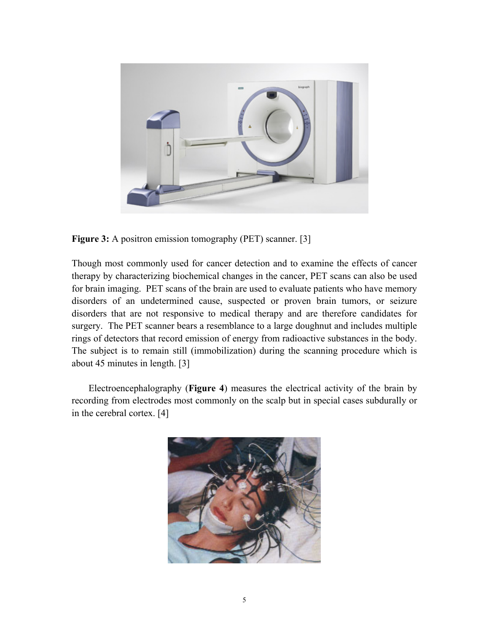

**Figure 3:** A positron emission tomography (PET) scanner. [3]

Though most commonly used for cancer detection and to examine the effects of cancer therapy by characterizing biochemical changes in the cancer, PET scans can also be used for brain imaging. PET scans of the brain are used to evaluate patients who have memory disorders of an undetermined cause, suspected or proven brain tumors, or seizure disorders that are not responsive to medical therapy and are therefore candidates for surgery. The PET scanner bears a resemblance to a large doughnut and includes multiple rings of detectors that record emission of energy from radioactive substances in the body. The subject is to remain still (immobilization) during the scanning procedure which is about 45 minutes in length. [3]

Electroencephalography (**Figure 4**) measures the electrical activity of the brain by recording from electrodes most commonly on the scalp but in special cases subdurally or in the cerebral cortex. [4]

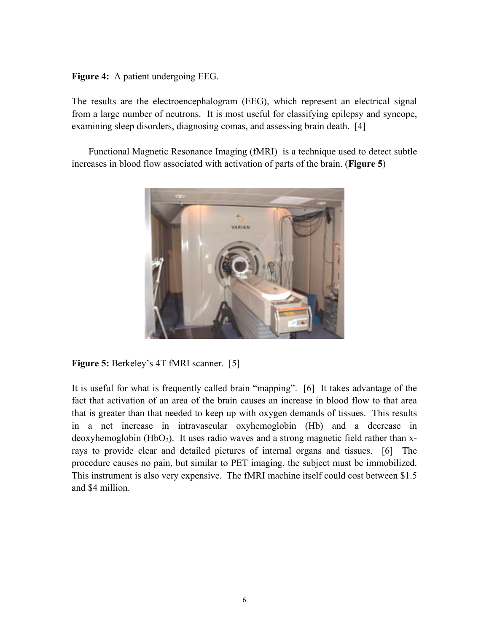**Figure 4:** A patient undergoing EEG.

The results are the electroencephalogram (EEG), which represent an electrical signal from a large number of neutrons. It is most useful for classifying epilepsy and syncope, examining sleep disorders, diagnosing comas, and assessing brain death. [4]

Functional Magnetic Resonance Imaging (fMRI) is a technique used to detect subtle increases in blood flow associated with activation of parts of the brain. (**Figure 5**)



**Figure 5:** Berkeley's 4T fMRI scanner. [5]

It is useful for what is frequently called brain "mapping". [6] It takes advantage of the fact that activation of an area of the brain causes an increase in blood flow to that area that is greater than that needed to keep up with oxygen demands of tissues. This results in a net increase in intravascular oxyhemoglobin (Hb) and a decrease in deoxyhemoglobin  $(HbO<sub>2</sub>)$ . It uses radio waves and a strong magnetic field rather than xrays to provide clear and detailed pictures of internal organs and tissues. [6] The procedure causes no pain, but similar to PET imaging, the subject must be immobilized. This instrument is also very expensive. The fMRI machine itself could cost between \$1.5 and \$4 million.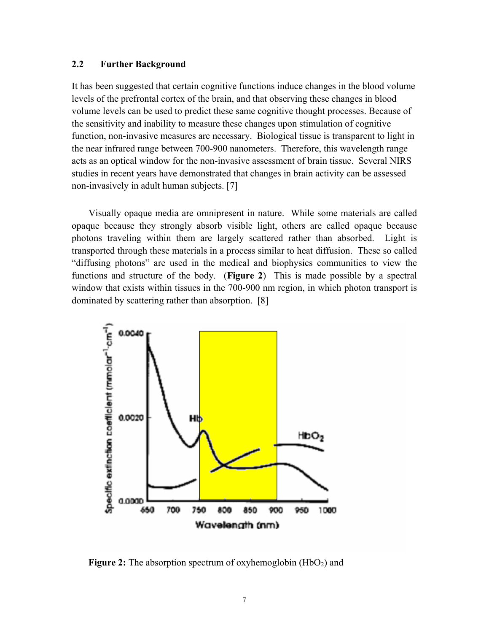### **2.2 Further Background**

It has been suggested that certain cognitive functions induce changes in the blood volume levels of the prefrontal cortex of the brain, and that observing these changes in blood volume levels can be used to predict these same cognitive thought processes. Because of the sensitivity and inability to measure these changes upon stimulation of cognitive function, non-invasive measures are necessary. Biological tissue is transparent to light in the near infrared range between 700-900 nanometers. Therefore, this wavelength range acts as an optical window for the non-invasive assessment of brain tissue. Several NIRS studies in recent years have demonstrated that changes in brain activity can be assessed non-invasively in adult human subjects. [7]

Visually opaque media are omnipresent in nature. While some materials are called opaque because they strongly absorb visible light, others are called opaque because photons traveling within them are largely scattered rather than absorbed. Light is transported through these materials in a process similar to heat diffusion. These so called "diffusing photons" are used in the medical and biophysics communities to view the functions and structure of the body. (**Figure 2**) This is made possible by a spectral window that exists within tissues in the 700-900 nm region, in which photon transport is dominated by scattering rather than absorption. [8]



**Figure 2:** The absorption spectrum of oxyhemoglobin  $(HbO<sub>2</sub>)$  and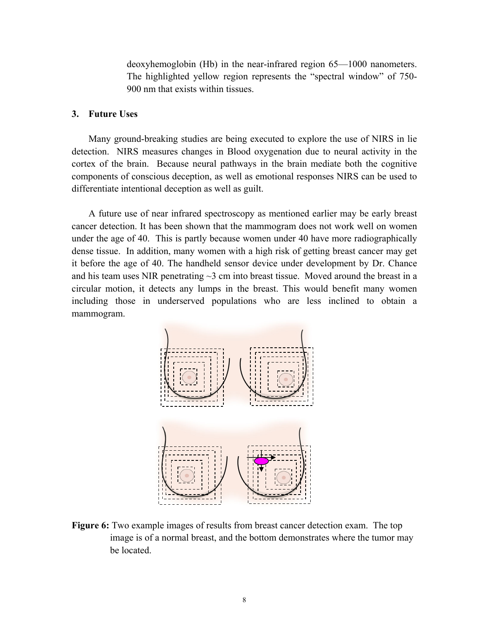deoxyhemoglobin (Hb) in the near-infrared region 65—1000 nanometers. The highlighted yellow region represents the "spectral window" of 750- 900 nm that exists within tissues.

#### **3. Future Uses**

Many ground-breaking studies are being executed to explore the use of NIRS in lie detection. NIRS measures changes in Blood oxygenation due to neural activity in the cortex of the brain. Because neural pathways in the brain mediate both the cognitive components of conscious deception, as well as emotional responses NIRS can be used to differentiate intentional deception as well as guilt.

A future use of near infrared spectroscopy as mentioned earlier may be early breast cancer detection. It has been shown that the mammogram does not work well on women under the age of 40. This is partly because women under 40 have more radiographically dense tissue. In addition, many women with a high risk of getting breast cancer may get it before the age of 40. The handheld sensor device under development by Dr. Chance and his team uses NIR penetrating  $\sim$ 3 cm into breast tissue. Moved around the breast in a circular motion, it detects any lumps in the breast. This would benefit many women including those in underserved populations who are less inclined to obtain a mammogram.



**Figure 6:** Two example images of results from breast cancer detection exam. The top image is of a normal breast, and the bottom demonstrates where the tumor may be located.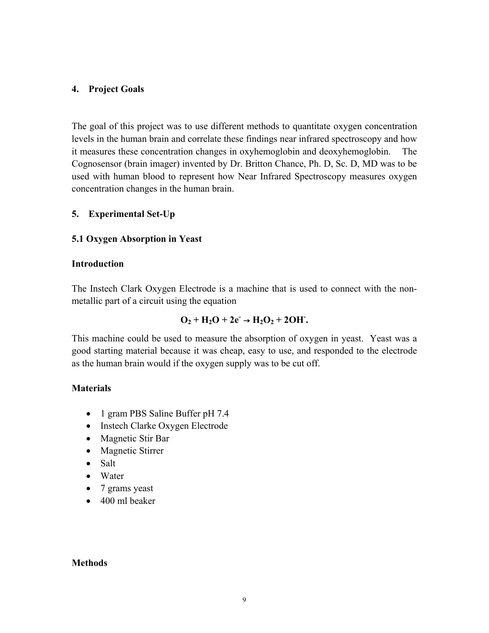### **4. Project Goals**

The goal of this project was to use different methods to quantitate oxygen concentration levels in the human brain and correlate these findings near infrared spectroscopy and how it measures these concentration changes in oxyhemoglobin and deoxyhemoglobin. The Cognosensor (brain imager) invented by Dr. Britton Chance, Ph. D, Sc. D, MD was to be used with human blood to represent how Near Infrared Spectroscopy measures oxygen concentration changes in the human brain.

### **5. Experimental Set-Up**

### **5.1 Oxygen Absorption in Yeast**

### **Introduction**

The Instech Clark Oxygen Electrode is a machine that is used to connect with the nonmetallic part of a circuit using the equation

# $O_2 + H_2O + 2e^- \rightarrow H_2O_2 + 2OH$ .

This machine could be used to measure the absorption of oxygen in yeast. Yeast was a good starting material because it was cheap, easy to use, and responded to the electrode as the human brain would if the oxygen supply was to be cut off.

### **Materials**

- 1 gram PBS Saline Buffer pH 7.4
- Instech Clarke Oxygen Electrode
- Magnetic Stir Bar
- Magnetic Stirrer
- Salt
- Water
- 7 grams yeast
- 400 ml beaker

#### **Methods**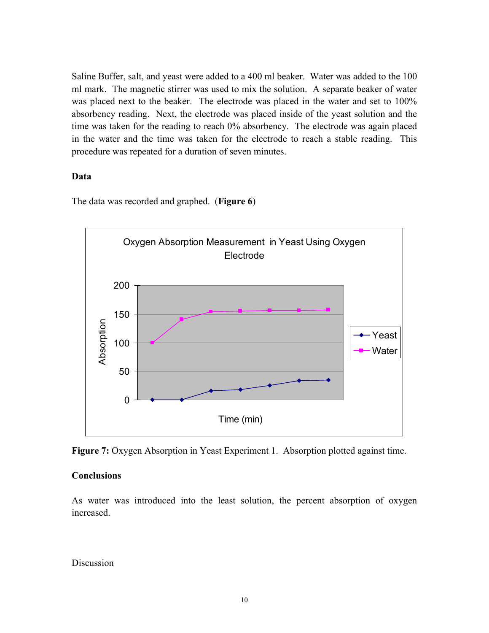Saline Buffer, salt, and yeast were added to a 400 ml beaker. Water was added to the 100 ml mark. The magnetic stirrer was used to mix the solution. A separate beaker of water was placed next to the beaker. The electrode was placed in the water and set to 100% absorbency reading. Next, the electrode was placed inside of the yeast solution and the time was taken for the reading to reach 0% absorbency. The electrode was again placed in the water and the time was taken for the electrode to reach a stable reading. This procedure was repeated for a duration of seven minutes.

### **Data**

The data was recorded and graphed. (**Figure 6**)



**Figure 7:** Oxygen Absorption in Yeast Experiment 1. Absorption plotted against time.

## **Conclusions**

As water was introduced into the least solution, the percent absorption of oxygen increased.

Discussion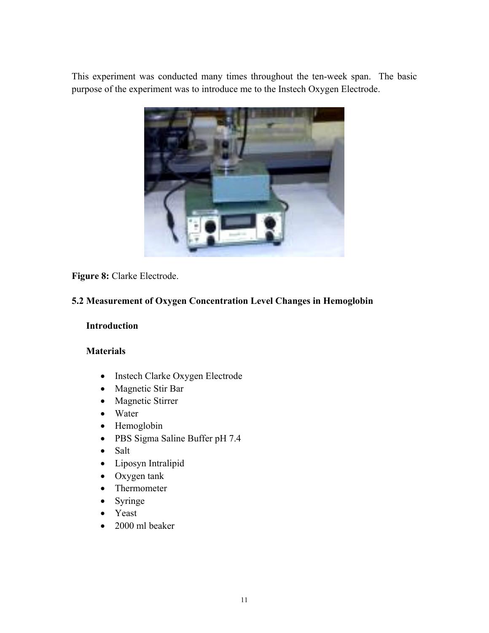This experiment was conducted many times throughout the ten-week span. The basic purpose of the experiment was to introduce me to the Instech Oxygen Electrode.



**Figure 8:** Clarke Electrode.

## **.2 Measurement of Oxygen Concentration Level Changes in Hemoglobin 5**

### **Introduction**

## **Materials**

- Instech Clarke Oxygen Electrode
- Magnetic Stir Bar
- Magnetic Stirrer
- Water
- Hemoglobin
- PBS Sigma Saline Buffer pH 7.4
- Salt
- Liposyn Intralipid
- Oxygen tank
- Thermometer
- Syringe
- Yeast
- 2000 ml beaker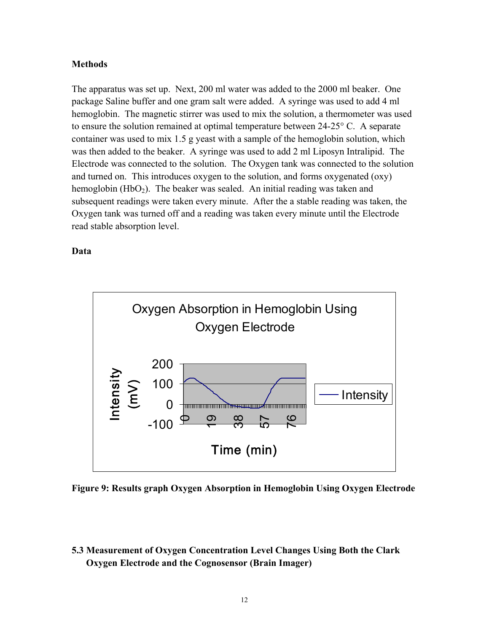### **Methods**

The apparatus was set up. Next, 200 ml water was added to the 2000 ml beaker. One hemoglobin. The magnetic stirrer was used to mix the solution, a thermometer was used Electrode was connected to the solution. The Oxygen tank was connected to the solution subsequent readings were taken every minute. After the a stable reading was taken, the package Saline buffer and one gram salt were added. A syringe was used to add 4 ml to ensure the solution remained at optimal temperature between 24-25° C. A separate container was used to mix 1.5 g yeast with a sample of the hemoglobin solution, which was then added to the beaker. A syringe was used to add 2 ml Liposyn Intralipid. The and turned on. This introduces oxygen to the solution, and forms oxygenated (oxy) hemoglobin  $(HbO<sub>2</sub>)$ . The beaker was sealed. An initial reading was taken and Oxygen tank was turned off and a reading was taken every minute until the Electrode read stable absorption level.

### **D**ata



**Figure 9: Results graph Oxygen Absorption in Hemoglobin Using Oxygen Electrode** 

**.3 Measurement of Oxygen Concentration Level Changes Using Both the Clark 5 Oxygen Electrode and the Cognosensor (Brain Imager)**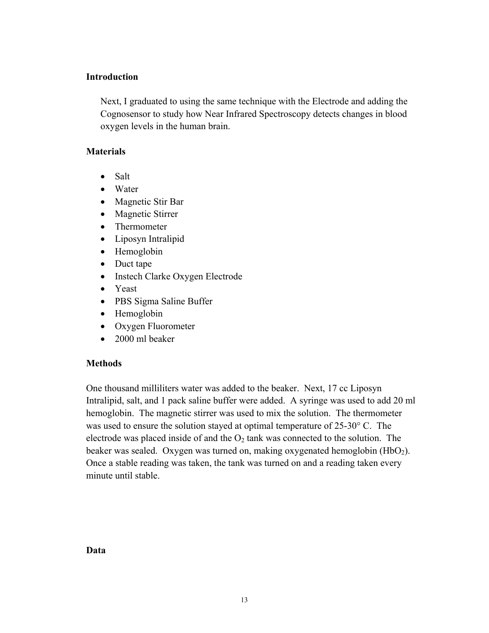### **Introduction**

Next, I graduated to using the same technique with the Electrode and adding the Cognosensor to study how Near Infrared Spectroscopy detects changes in blood oxygen levels in the human brain.

### **Ma terials**

- Salt
- Water
- Magnetic Stir Bar
- Magnetic Stirrer
- Thermometer
- Liposyn Intralipid
- Hemoglobin
- Duct tape
- Instech Clarke Oxygen Electrode
- Yeast
- PBS Sigma Saline Buffer
- Hemoglobin
- Oxygen Fluorometer
- 2000 ml beaker

## **Me thods**

One thousand milliliters water was added to the beaker. Next, 17 cc Liposyn Intralipid, salt, and 1 pack saline buffer were added. A syringe was used to add 20 ml hemoglobin. The magnetic stirrer was used to mix the solution. The thermometer beaker was sealed. Oxygen was turned on, making oxygenated hemoglobin (HbO<sub>2</sub>). was used to ensure the solution stayed at optimal temperature of 25-30° C. The electrode was placed inside of and the  $O_2$  tank was connected to the solution. The Once a stable reading was taken, the tank was turned on and a reading taken every minute until stable.

#### **D**ata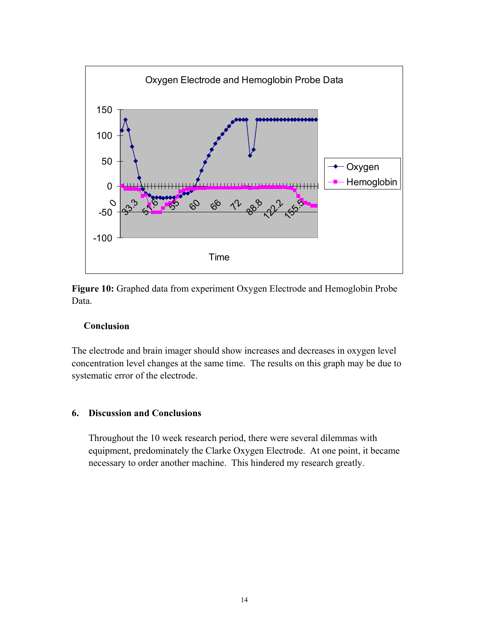

Figure 10: Graphed data from experiment Oxygen Electrode and Hemoglobin Probe Data.

### $C$ **onclusion**

The electrode and brain imager should show increases and decreases in oxygen level concentration level changes at the same time. The results on this graph may be due to systematic error of the electrode.

### **6. Discussion and Conclusions**

Throughout the 10 week research period, there were several dilemmas with equipment, predominately the Clarke Oxygen Electrode. At one point, it became necessary to order another machine. This hindered my research greatly.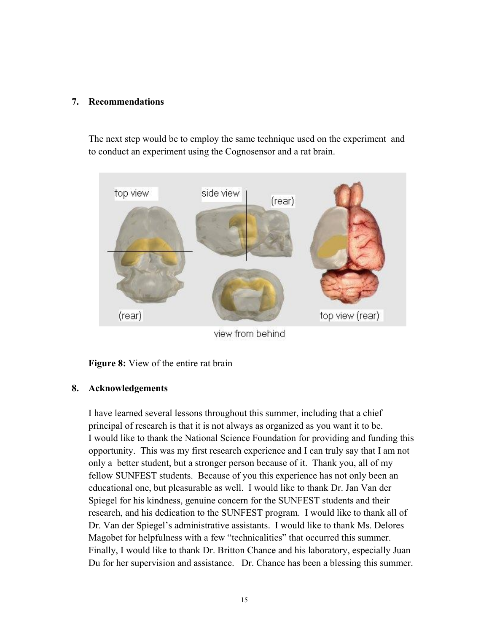### **7. ecommendations R**

The next step would be to employ the same technique used on the experiment and to conduct an experiment using the Cognosensor and a rat brain.



view from behind

**Figure 8:** View of the entire rat brain

### **8. Acknowledgements**

I have learned several lessons throughout this summer, including that a chief principal of research is that it is not always as organized as you want it to be. I would like to thank the National Science Foundation for providing and funding this opportunity. This was my first research experience and I can truly say that I am not research, and his dedication to the SUNFEST program. I would like to thank all of Dr. Van der Spiegel's administrative assistants. I would like to thank Ms. Delores Du for her supervision and assistance. Dr. Chance has been a blessing this summer. only a better student, but a stronger person because of it. Thank you, all of my fellow SUNFEST students. Because of you this experience has not only been an educational one, but pleasurable as well. I would like to thank Dr. Jan Van der Spiegel for his kindness, genuine concern for the SUNFEST students and their Magobet for helpfulness with a few "technicalities" that occurred this summer. Finally, I would like to thank Dr. Britton Chance and his laboratory, especially Juan